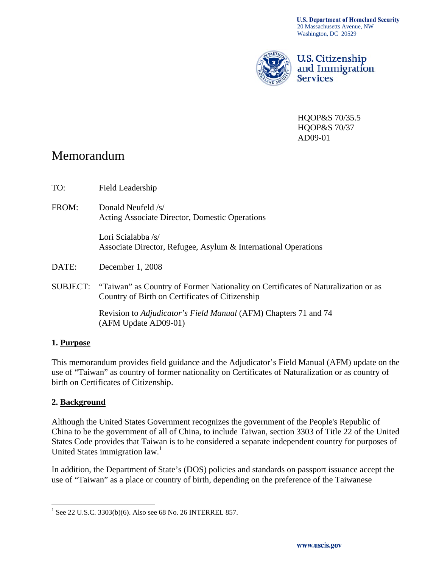**U.S. Department of Homeland Security** 20 Massachusetts Avenue, NW Washington, DC 20529



**U.S. Citizenship** and Immigration **Services** 

HQOP&S 70/35.5 HQOP&S 70/37 AD09-01

# Memorandum

- TO: Field Leadership
- FROM: Donald Neufeld /s/ Acting Associate Director, Domestic Operations

 Lori Scialabba /s/ Associate Director, Refugee, Asylum & International Operations

- DATE: December 1, 2008
- SUBJECT: "Taiwan" as Country of Former Nationality on Certificates of Naturalization or as Country of Birth on Certificates of Citizenship

 Revision to *Adjudicator's Field Manual* (AFM) Chapters 71 and 74 (AFM Update AD09-01)

#### **1. Purpose**

This memorandum provides field guidance and the Adjudicator's Field Manual (AFM) update on the use of "Taiwan" as country of former nationality on Certificates of Naturalization or as country of birth on Certificates of Citizenship.

## **2. Background**

Although the United States Government recognizes the government of the People's Republic of China to be the government of all of China, to include Taiwan, section 3303 of Title 22 of the United States Code provides that Taiwan is to be considered a separate independent country for purposes of United States immigration  $law<sup>1</sup>$ .

In addition, the Department of State's (DOS) policies and standards on passport issuance accept the use of "Taiwan" as a place or country of birth, depending on the preference of the Taiwanese

 $\overline{a}$  $1$  See 22 U.S.C. 3303(b)(6). Also see 68 No. 26 INTERREL 857.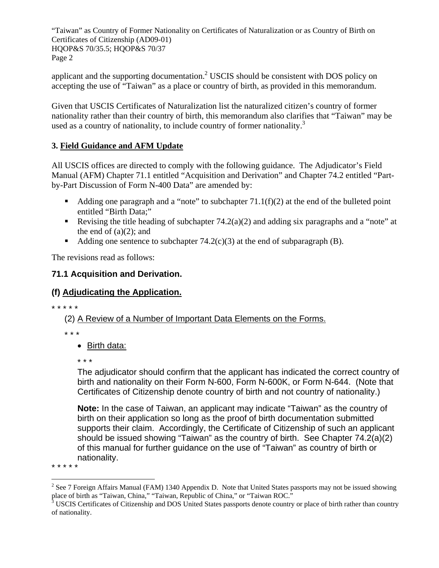"Taiwan" as Country of Former Nationality on Certificates of Naturalization or as Country of Birth on Certificates of Citizenship (AD09-01) HQOP&S 70/35.5; HQOP&S 70/37 Page 2

applicant and the supporting documentation.<sup>2</sup> USCIS should be consistent with DOS policy on accepting the use of "Taiwan" as a place or country of birth, as provided in this memorandum.

Given that USCIS Certificates of Naturalization list the naturalized citizen's country of former nationality rather than their country of birth, this memorandum also clarifies that "Taiwan" may be used as a country of nationality, to include country of former nationality.<sup>3</sup>

## **3. Field Guidance and AFM Update**

All USCIS offices are directed to comply with the following guidance. The Adjudicator's Field Manual (AFM) Chapter 71.1 entitled "Acquisition and Derivation" and Chapter 74.2 entitled "Partby-Part Discussion of Form N-400 Data" are amended by:

- Adding one paragraph and a "note" to subchapter  $71.1(f)(2)$  at the end of the bulleted point entitled "Birth Data;"
- Revising the title heading of subchapter  $74.2(a)(2)$  and adding six paragraphs and a "note" at the end of  $(a)(2)$ ; and
- Adding one sentence to subchapter  $74.2(c)(3)$  at the end of subparagraph (B).

The revisions read as follows:

# **71.1 Acquisition and Derivation.**

# **(f) Adjudicating the Application.**

\* \* \* \* \*

(2) A Review of a Number of Important Data Elements on the Forms.

\* \* \*

• Birth data:

\* \* \*

The adjudicator should confirm that the applicant has indicated the correct country of birth and nationality on their Form N-600, Form N-600K, or Form N-644. (Note that Certificates of Citizenship denote country of birth and not country of nationality.)

**Note:** In the case of Taiwan, an applicant may indicate "Taiwan" as the country of birth on their application so long as the proof of birth documentation submitted supports their claim. Accordingly, the Certificate of Citizenship of such an applicant should be issued showing "Taiwan" as the country of birth. See Chapter 74.2(a)(2) of this manual for further guidance on the use of "Taiwan" as country of birth or nationality.

\* \* \* \* \*

 $\overline{a}$ 

<sup>&</sup>lt;sup>2</sup> See 7 Foreign Affairs Manual (FAM) 1340 Appendix D. Note that United States passports may not be issued showing place of birth as "Taiwan, China," "Taiwan, Republic of China," or "Taiwan ROC."<br><sup>3</sup> USCIS Certificates of Citizenship and DOS United States passports denote country or place of birth rather than country

of nationality.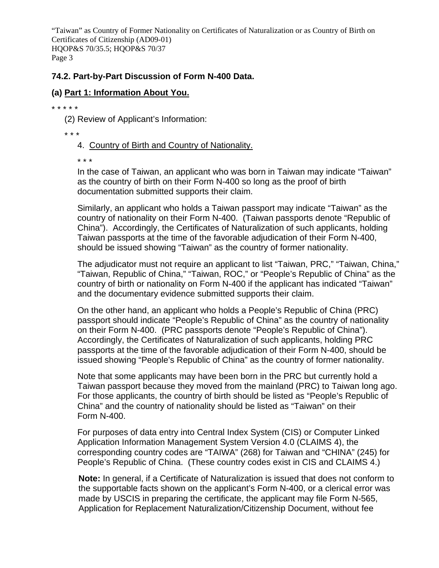"Taiwan" as Country of Former Nationality on Certificates of Naturalization or as Country of Birth on Certificates of Citizenship (AD09-01) HQOP&S 70/35.5; HQOP&S 70/37 Page 3

## **74.2. Part-by-Part Discussion of Form N-400 Data.**

## **(a) Part 1: Information About You.**

\* \* \* \* \*

(2) Review of Applicant's Information:

\* \* \*

#### 4. Country of Birth and Country of Nationality.

\* \* \*

In the case of Taiwan, an applicant who was born in Taiwan may indicate "Taiwan" as the country of birth on their Form N-400 so long as the proof of birth documentation submitted supports their claim.

Similarly, an applicant who holds a Taiwan passport may indicate "Taiwan" as the country of nationality on their Form N-400. (Taiwan passports denote "Republic of China"). Accordingly, the Certificates of Naturalization of such applicants, holding Taiwan passports at the time of the favorable adjudication of their Form N-400, should be issued showing "Taiwan" as the country of former nationality.

The adjudicator must not require an applicant to list "Taiwan, PRC," "Taiwan, China," "Taiwan, Republic of China," "Taiwan, ROC," or "People's Republic of China" as the country of birth or nationality on Form N-400 if the applicant has indicated "Taiwan" and the documentary evidence submitted supports their claim.

On the other hand, an applicant who holds a People's Republic of China (PRC) passport should indicate "People's Republic of China" as the country of nationality on their Form N-400. (PRC passports denote "People's Republic of China"). Accordingly, the Certificates of Naturalization of such applicants, holding PRC passports at the time of the favorable adjudication of their Form N-400, should be issued showing "People's Republic of China" as the country of former nationality.

Note that some applicants may have been born in the PRC but currently hold a Taiwan passport because they moved from the mainland (PRC) to Taiwan long ago. For those applicants, the country of birth should be listed as "People's Republic of China" and the country of nationality should be listed as "Taiwan" on their Form N-400.

For purposes of data entry into Central Index System (CIS) or Computer Linked Application Information Management System Version 4.0 (CLAIMS 4), the corresponding country codes are "TAIWA" (268) for Taiwan and "CHINA" (245) for People's Republic of China. (These country codes exist in CIS and CLAIMS 4.)

**Note:** In general, if a Certificate of Naturalization is issued that does not conform to the supportable facts shown on the applicant's Form N-400, or a clerical error was made by USCIS in preparing the certificate, the applicant may file Form N-565, Application for Replacement Naturalization/Citizenship Document, without fee